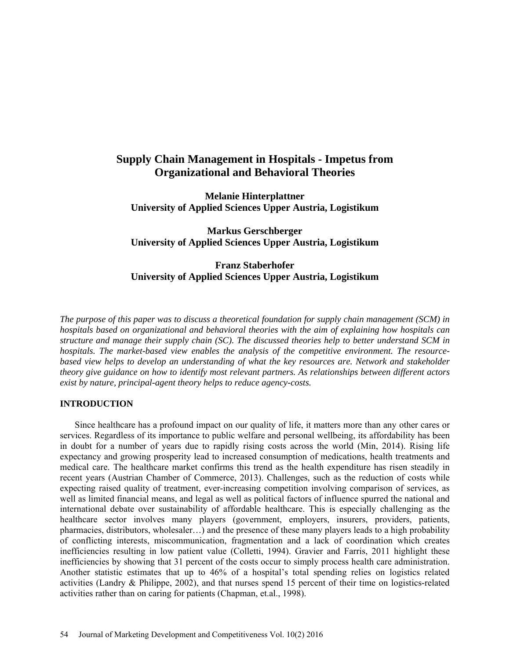# **Supply Chain Management in Hospitals - Impetus from Organizational and Behavioral Theories**

**Melanie Hinterplattner University of Applied Sciences Upper Austria, Logistikum**

**Markus Gerschberger University of Applied Sciences Upper Austria, Logistikum**

# **Franz Staberhofer University of Applied Sciences Upper Austria, Logistikum**

*The purpose of this paper was to discuss a theoretical foundation for supply chain management (SCM) in hospitals based on organizational and behavioral theories with the aim of explaining how hospitals can structure and manage their supply chain (SC). The discussed theories help to better understand SCM in hospitals. The market-based view enables the analysis of the competitive environment. The resourcebased view helps to develop an understanding of what the key resources are. Network and stakeholder theory give guidance on how to identify most relevant partners. As relationships between different actors exist by nature, principal-agent theory helps to reduce agency-costs.*

## **INTRODUCTION**

Since healthcare has a profound impact on our quality of life, it matters more than any other cares or services. Regardless of its importance to public welfare and personal wellbeing, its affordability has been in doubt for a number of years due to rapidly rising costs across the world (Min, 2014). Rising life expectancy and growing prosperity lead to increased consumption of medications, health treatments and medical care. The healthcare market confirms this trend as the health expenditure has risen steadily in recent years (Austrian Chamber of Commerce, 2013). Challenges, such as the reduction of costs while expecting raised quality of treatment, ever-increasing competition involving comparison of services, as well as limited financial means, and legal as well as political factors of influence spurred the national and international debate over sustainability of affordable healthcare. This is especially challenging as the healthcare sector involves many players (government, employers, insurers, providers, patients, pharmacies, distributors, wholesaler…) and the presence of these many players leads to a high probability of conflicting interests, miscommunication, fragmentation and a lack of coordination which creates inefficiencies resulting in low patient value (Colletti, 1994). Gravier and Farris, 2011 highlight these inefficiencies by showing that 31 percent of the costs occur to simply process health care administration. Another statistic estimates that up to 46% of a hospital's total spending relies on logistics related activities (Landry & Philippe, 2002), and that nurses spend 15 percent of their time on logistics-related activities rather than on caring for patients (Chapman, et.al., 1998).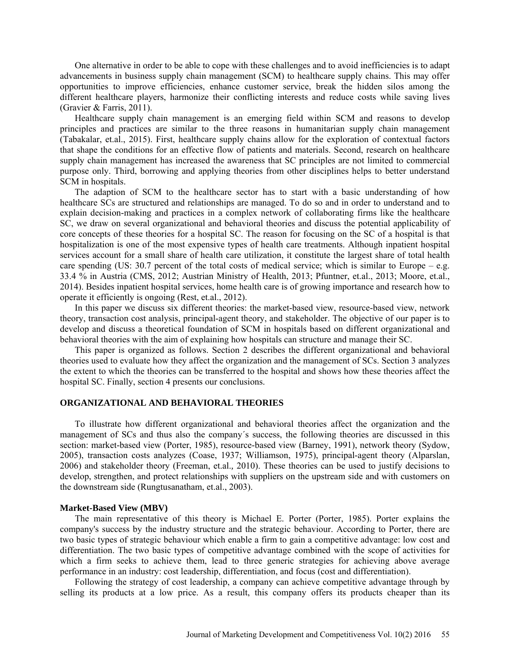One alternative in order to be able to cope with these challenges and to avoid inefficiencies is to adapt advancements in business supply chain management (SCM) to healthcare supply chains. This may offer opportunities to improve efficiencies, enhance customer service, break the hidden silos among the different healthcare players, harmonize their conflicting interests and reduce costs while saving lives (Gravier & Farris, 2011).

Healthcare supply chain management is an emerging field within SCM and reasons to develop principles and practices are similar to the three reasons in humanitarian supply chain management (Tabakalar, et.al., 2015). First, healthcare supply chains allow for the exploration of contextual factors that shape the conditions for an effective flow of patients and materials. Second, research on healthcare supply chain management has increased the awareness that SC principles are not limited to commercial purpose only. Third, borrowing and applying theories from other disciplines helps to better understand SCM in hospitals.

The adaption of SCM to the healthcare sector has to start with a basic understanding of how healthcare SCs are structured and relationships are managed. To do so and in order to understand and to explain decision-making and practices in a complex network of collaborating firms like the healthcare SC, we draw on several organizational and behavioral theories and discuss the potential applicability of core concepts of these theories for a hospital SC. The reason for focusing on the SC of a hospital is that hospitalization is one of the most expensive types of health care treatments. Although inpatient hospital services account for a small share of health care utilization, it constitute the largest share of total health care spending (US: 30.7 percent of the total costs of medical service; which is similar to Europe – e.g. 33.4 % in Austria (CMS, 2012; Austrian Ministry of Health, 2013; Pfuntner, et.al., 2013; Moore, et.al., 2014). Besides inpatient hospital services, home health care is of growing importance and research how to operate it efficiently is ongoing (Rest, et.al., 2012).

In this paper we discuss six different theories: the market-based view, resource-based view, network theory, transaction cost analysis, principal-agent theory, and stakeholder. The objective of our paper is to develop and discuss a theoretical foundation of SCM in hospitals based on different organizational and behavioral theories with the aim of explaining how hospitals can structure and manage their SC.

This paper is organized as follows. Section 2 describes the different organizational and behavioral theories used to evaluate how they affect the organization and the management of SCs. Section 3 analyzes the extent to which the theories can be transferred to the hospital and shows how these theories affect the hospital SC. Finally, section 4 presents our conclusions.

## **ORGANIZATIONAL AND BEHAVIORAL THEORIES**

To illustrate how different organizational and behavioral theories affect the organization and the management of SCs and thus also the company´s success, the following theories are discussed in this section: market-based view (Porter, 1985), resource-based view (Barney, 1991), network theory (Sydow, 2005), transaction costs analyzes (Coase, 1937; Williamson, 1975), principal-agent theory (Alparslan, 2006) and stakeholder theory (Freeman, et.al.*,* 2010). These theories can be used to justify decisions to develop, strengthen, and protect relationships with suppliers on the upstream side and with customers on the downstream side (Rungtusanatham, et.al., 2003).

#### **Market-Based View (MBV)**

The main representative of this theory is Michael E. Porter (Porter, 1985). Porter explains the company's success by the industry structure and the strategic behaviour. According to Porter, there are two basic types of strategic behaviour which enable a firm to gain a competitive advantage: low cost and differentiation. The two basic types of competitive advantage combined with the scope of activities for which a firm seeks to achieve them, lead to three generic strategies for achieving above average performance in an industry: cost leadership, differentiation, and focus (cost and differentiation).

Following the strategy of cost leadership, a company can achieve competitive advantage through by selling its products at a low price. As a result, this company offers its products cheaper than its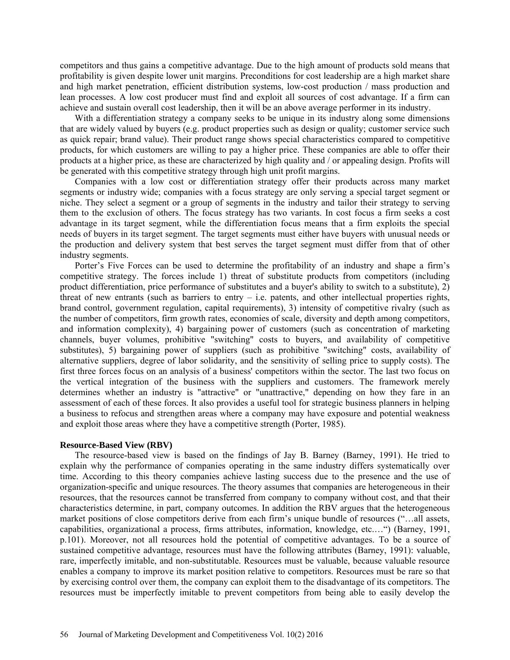competitors and thus gains a competitive advantage. Due to the high amount of products sold means that profitability is given despite lower unit margins. Preconditions for cost leadership are a high market share and high market penetration, efficient distribution systems, low-cost production / mass production and lean processes. A low cost producer must find and exploit all sources of cost advantage. If a firm can achieve and sustain overall cost leadership, then it will be an above average performer in its industry.

With a differentiation strategy a company seeks to be unique in its industry along some dimensions that are widely valued by buyers (e.g. product properties such as design or quality; customer service such as quick repair; brand value). Their product range shows special characteristics compared to competitive products, for which customers are willing to pay a higher price. These companies are able to offer their products at a higher price, as these are characterized by high quality and / or appealing design. Profits will be generated with this competitive strategy through high unit profit margins.

Companies with a low cost or differentiation strategy offer their products across many market segments or industry wide; companies with a focus strategy are only serving a special target segment or niche. They select a segment or a group of segments in the industry and tailor their strategy to serving them to the exclusion of others. The focus strategy has two variants. In cost focus a firm seeks a cost advantage in its target segment, while the differentiation focus means that a firm exploits the special needs of buyers in its target segment. The target segments must either have buyers with unusual needs or the production and delivery system that best serves the target segment must differ from that of other industry segments.

Porter's Five Forces can be used to determine the profitability of an industry and shape a firm's competitive strategy. The forces include 1) threat of substitute products from competitors (including product differentiation, price performance of substitutes and a buyer's ability to switch to a substitute), 2) threat of new entrants (such as barriers to entry  $-$  i.e. patents, and other intellectual properties rights, brand control, government regulation, capital requirements), 3) intensity of competitive rivalry (such as the number of competitors, firm growth rates, economies of scale, diversity and depth among competitors, and information complexity), 4) bargaining power of customers (such as concentration of marketing channels, buyer volumes, prohibitive "switching" costs to buyers, and availability of competitive substitutes), 5) bargaining power of suppliers (such as prohibitive "switching" costs, availability of alternative suppliers, degree of labor solidarity, and the sensitivity of selling price to supply costs). The first three forces focus on an analysis of a business' competitors within the sector. The last two focus on the vertical integration of the business with the suppliers and customers. The framework merely determines whether an industry is "attractive" or "unattractive," depending on how they fare in an assessment of each of these forces. It also provides a useful tool for strategic business planners in helping a business to refocus and strengthen areas where a company may have exposure and potential weakness and exploit those areas where they have a competitive strength (Porter, 1985).

#### **Resource-Based View (RBV)**

The resource-based view is based on the findings of Jay B. Barney (Barney, 1991). He tried to explain why the performance of companies operating in the same industry differs systematically over time. According to this theory companies achieve lasting success due to the presence and the use of organization-specific and unique resources. The theory assumes that companies are heterogeneous in their resources, that the resources cannot be transferred from company to company without cost, and that their characteristics determine, in part, company outcomes. In addition the RBV argues that the heterogeneous market positions of close competitors derive from each firm's unique bundle of resources ("…all assets, capabilities, organizational a process, firms attributes, information, knowledge, etc.…") (Barney, 1991, p.101). Moreover, not all resources hold the potential of competitive advantages. To be a source of sustained competitive advantage, resources must have the following attributes (Barney, 1991): valuable, rare, imperfectly imitable, and non-substitutable. Resources must be valuable, because valuable resource enables a company to improve its market position relative to competitors. Resources must be rare so that by exercising control over them, the company can exploit them to the disadvantage of its competitors. The resources must be imperfectly imitable to prevent competitors from being able to easily develop the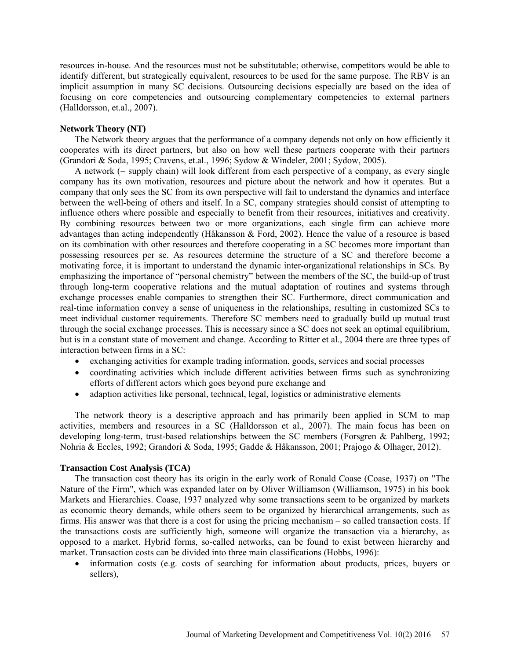resources in-house. And the resources must not be substitutable; otherwise, competitors would be able to identify different, but strategically equivalent, resources to be used for the same purpose. The RBV is an implicit assumption in many SC decisions. Outsourcing decisions especially are based on the idea of focusing on core competencies and outsourcing complementary competencies to external partners (Halldorsson, et.al.*,* 2007).

## **Network Theory (NT)**

The Network theory argues that the performance of a company depends not only on how efficiently it cooperates with its direct partners, but also on how well these partners cooperate with their partners (Grandori & Soda, 1995; Cravens, et.al., 1996; Sydow & Windeler, 2001; Sydow, 2005).

A network (= supply chain) will look different from each perspective of a company, as every single company has its own motivation, resources and picture about the network and how it operates. But a company that only sees the SC from its own perspective will fail to understand the dynamics and interface between the well-being of others and itself. In a SC, company strategies should consist of attempting to influence others where possible and especially to benefit from their resources, initiatives and creativity. By combining resources between two or more organizations, each single firm can achieve more advantages than acting independently (Håkansson & Ford, 2002). Hence the value of a resource is based on its combination with other resources and therefore cooperating in a SC becomes more important than possessing resources per se. As resources determine the structure of a SC and therefore become a motivating force, it is important to understand the dynamic inter-organizational relationships in SCs. By emphasizing the importance of "personal chemistry" between the members of the SC, the build-up of trust through long-term cooperative relations and the mutual adaptation of routines and systems through exchange processes enable companies to strengthen their SC. Furthermore, direct communication and real-time information convey a sense of uniqueness in the relationships, resulting in customized SCs to meet individual customer requirements. Therefore SC members need to gradually build up mutual trust through the social exchange processes. This is necessary since a SC does not seek an optimal equilibrium, but is in a constant state of movement and change. According to Ritter et al., 2004 there are three types of interaction between firms in a SC:

- exchanging activities for example trading information, goods, services and social processes
- coordinating activities which include different activities between firms such as synchronizing efforts of different actors which goes beyond pure exchange and
- adaption activities like personal, technical, legal, logistics or administrative elements

The network theory is a descriptive approach and has primarily been applied in SCM to map activities, members and resources in a SC (Halldorsson et al.*,* 2007). The main focus has been on developing long-term, trust-based relationships between the SC members (Forsgren & Pahlberg, 1992; Nohria & Eccles, 1992; Grandori & Soda, 1995; Gadde & Håkansson, 2001; Prajogo & Olhager, 2012).

## **Transaction Cost Analysis (TCA)**

The transaction cost theory has its origin in the early work of Ronald Coase (Coase, 1937) on "The Nature of the Firm", which was expanded later on by Oliver Williamson (Williamson, 1975) in his book Markets and Hierarchies. Coase, 1937 analyzed why some transactions seem to be organized by markets as economic theory demands, while others seem to be organized by hierarchical arrangements, such as firms. His answer was that there is a cost for using the pricing mechanism – so called transaction costs. If the transactions costs are sufficiently high, someone will organize the transaction via a hierarchy, as opposed to a market. Hybrid forms, so-called networks, can be found to exist between hierarchy and market. Transaction costs can be divided into three main classifications (Hobbs, 1996):

• information costs (e.g. costs of searching for information about products, prices, buyers or sellers),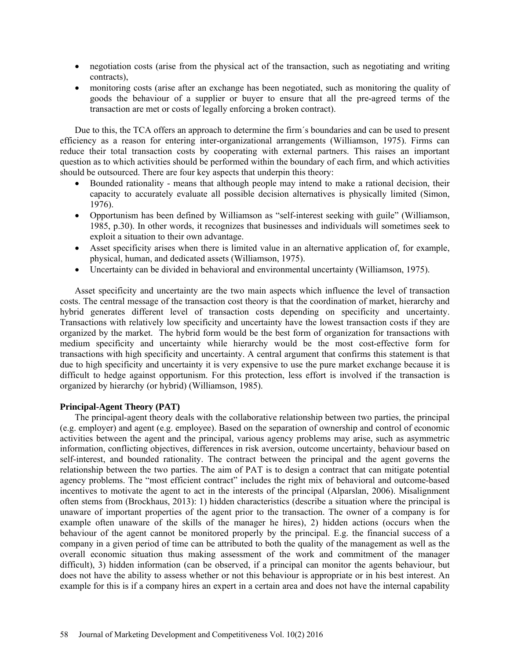- negotiation costs (arise from the physical act of the transaction, such as negotiating and writing contracts),
- monitoring costs (arise after an exchange has been negotiated, such as monitoring the quality of goods the behaviour of a supplier or buyer to ensure that all the pre-agreed terms of the transaction are met or costs of legally enforcing a broken contract).

Due to this, the TCA offers an approach to determine the firm´s boundaries and can be used to present efficiency as a reason for entering inter-organizational arrangements (Williamson, 1975). Firms can reduce their total transaction costs by cooperating with external partners. This raises an important question as to which activities should be performed within the boundary of each firm, and which activities should be outsourced. There are four key aspects that underpin this theory:

- Bounded rationality means that although people may intend to make a rational decision, their capacity to accurately evaluate all possible decision alternatives is physically limited (Simon, 1976).
- Opportunism has been defined by Williamson as "self-interest seeking with guile" (Williamson, 1985, p.30). In other words, it recognizes that businesses and individuals will sometimes seek to exploit a situation to their own advantage.
- Asset specificity arises when there is limited value in an alternative application of, for example, physical, human, and dedicated assets (Williamson, 1975).
- Uncertainty can be divided in behavioral and environmental uncertainty (Williamson, 1975).

Asset specificity and uncertainty are the two main aspects which influence the level of transaction costs. The central message of the transaction cost theory is that the coordination of market, hierarchy and hybrid generates different level of transaction costs depending on specificity and uncertainty. Transactions with relatively low specificity and uncertainty have the lowest transaction costs if they are organized by the market. The hybrid form would be the best form of organization for transactions with medium specificity and uncertainty while hierarchy would be the most cost-effective form for transactions with high specificity and uncertainty. A central argument that confirms this statement is that due to high specificity and uncertainty it is very expensive to use the pure market exchange because it is difficult to hedge against opportunism. For this protection, less effort is involved if the transaction is organized by hierarchy (or hybrid) (Williamson, 1985).

## **Principal-Agent Theory (PAT)**

The principal-agent theory deals with the collaborative relationship between two parties, the principal (e.g. employer) and agent (e.g. employee). Based on the separation of ownership and control of economic activities between the agent and the principal, various agency problems may arise, such as asymmetric information, conflicting objectives, differences in risk aversion, outcome uncertainty, behaviour based on self-interest, and bounded rationality. The contract between the principal and the agent governs the relationship between the two parties. The aim of PAT is to design a contract that can mitigate potential agency problems. The "most efficient contract" includes the right mix of behavioral and outcome-based incentives to motivate the agent to act in the interests of the principal (Alparslan, 2006). Misalignment often stems from (Brockhaus, 2013): 1) hidden characteristics (describe a situation where the principal is unaware of important properties of the agent prior to the transaction. The owner of a company is for example often unaware of the skills of the manager he hires), 2) hidden actions (occurs when the behaviour of the agent cannot be monitored properly by the principal. E.g. the financial success of a company in a given period of time can be attributed to both the quality of the management as well as the overall economic situation thus making assessment of the work and commitment of the manager difficult), 3) hidden information (can be observed, if a principal can monitor the agents behaviour, but does not have the ability to assess whether or not this behaviour is appropriate or in his best interest. An example for this is if a company hires an expert in a certain area and does not have the internal capability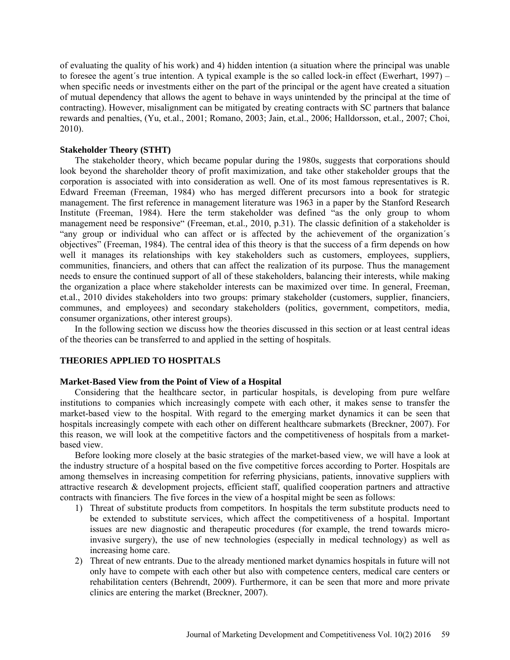of evaluating the quality of his work) and 4) hidden intention (a situation where the principal was unable to foresee the agent´s true intention. A typical example is the so called lock-in effect (Ewerhart, 1997) – when specific needs or investments either on the part of the principal or the agent have created a situation of mutual dependency that allows the agent to behave in ways unintended by the principal at the time of contracting). However, misalignment can be mitigated by creating contracts with SC partners that balance rewards and penalties, (Yu, et.al., 2001; Romano, 2003; Jain, et.al., 2006; Halldorsson, et.al.*,* 2007; Choi, 2010).

## **Stakeholder Theory (STHT)**

The stakeholder theory, which became popular during the 1980s, suggests that corporations should look beyond the shareholder theory of profit maximization, and take other stakeholder groups that the corporation is associated with into consideration as well. One of its most famous representatives is R. Edward Freeman (Freeman, 1984) who has merged different precursors into a book for strategic management. The first reference in management literature was 1963 in a paper by the Stanford Research Institute (Freeman, 1984). Here the term stakeholder was defined "as the only group to whom management need be responsive" (Freeman, et.al.*,* 2010, p.31). The classic definition of a stakeholder is "any group or individual who can affect or is affected by the achievement of the organization´s objectives" (Freeman, 1984). The central idea of this theory is that the success of a firm depends on how well it manages its relationships with key stakeholders such as customers, employees, suppliers, communities, financiers, and others that can affect the realization of its purpose. Thus the management needs to ensure the continued support of all of these stakeholders, balancing their interests, while making the organization a place where stakeholder interests can be maximized over time. In general, Freeman, et.al., 2010 divides stakeholders into two groups: primary stakeholder (customers, supplier, financiers, communes, and employees) and secondary stakeholders (politics, government, competitors, media, consumer organizations, other interest groups).

In the following section we discuss how the theories discussed in this section or at least central ideas of the theories can be transferred to and applied in the setting of hospitals.

## **THEORIES APPLIED TO HOSPITALS**

## **Market-Based View from the Point of View of a Hospital**

Considering that the healthcare sector, in particular hospitals, is developing from pure welfare institutions to companies which increasingly compete with each other, it makes sense to transfer the market-based view to the hospital. With regard to the emerging market dynamics it can be seen that hospitals increasingly compete with each other on different healthcare submarkets (Breckner, 2007). For this reason, we will look at the competitive factors and the competitiveness of hospitals from a marketbased view.

Before looking more closely at the basic strategies of the market-based view, we will have a look at the industry structure of a hospital based on the five competitive forces according to Porter. Hospitals are among themselves in increasing competition for referring physicians, patients, innovative suppliers with attractive research & development projects, efficient staff, qualified cooperation partners and attractive contracts with financiers. The five forces in the view of a hospital might be seen as follows:

- 1) Threat of substitute products from competitors. In hospitals the term substitute products need to be extended to substitute services, which affect the competitiveness of a hospital. Important issues are new diagnostic and therapeutic procedures (for example, the trend towards microinvasive surgery), the use of new technologies (especially in medical technology) as well as increasing home care.
- 2) Threat of new entrants. Due to the already mentioned market dynamics hospitals in future will not only have to compete with each other but also with competence centers, medical care centers or rehabilitation centers (Behrendt, 2009). Furthermore, it can be seen that more and more private clinics are entering the market (Breckner, 2007).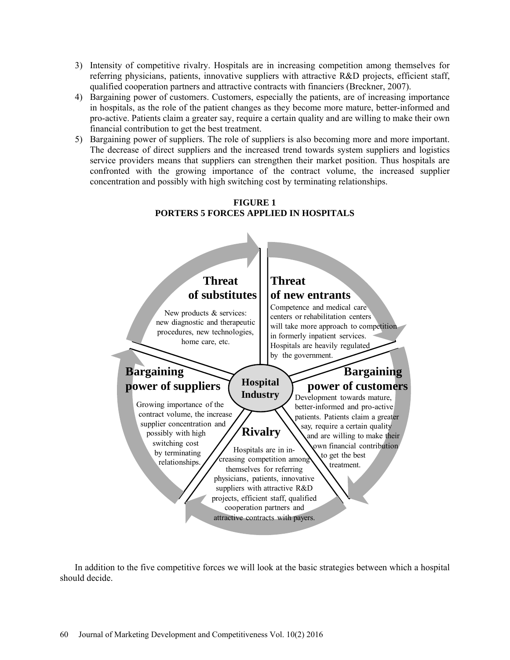- 3) Intensity of competitive rivalry. Hospitals are in increasing competition among themselves for referring physicians, patients, innovative suppliers with attractive R&D projects, efficient staff, qualified cooperation partners and attractive contracts with financiers (Breckner, 2007).
- 4) Bargaining power of customers. Customers, especially the patients, are of increasing importance in hospitals, as the role of the patient changes as they become more mature, better-informed and pro-active. Patients claim a greater say, require a certain quality and are willing to make their own financial contribution to get the best treatment.
- 5) Bargaining power of suppliers. The role of suppliers is also becoming more and more important. The decrease of direct suppliers and the increased trend towards system suppliers and logistics service providers means that suppliers can strengthen their market position. Thus hospitals are confronted with the growing importance of the contract volume, the increased supplier concentration and possibly with high switching cost by terminating relationships.





In addition to the five competitive forces we will look at the basic strategies between which a hospital should decide.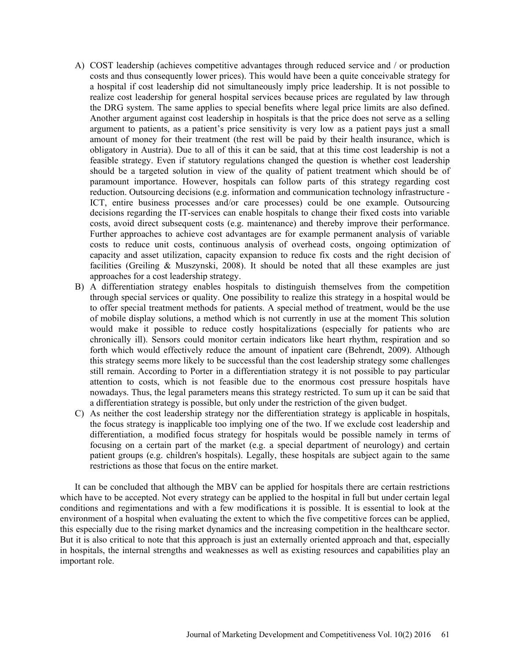- A) COST leadership (achieves competitive advantages through reduced service and / or production costs and thus consequently lower prices). This would have been a quite conceivable strategy for a hospital if cost leadership did not simultaneously imply price leadership. It is not possible to realize cost leadership for general hospital services because prices are regulated by law through the DRG system. The same applies to special benefits where legal price limits are also defined. Another argument against cost leadership in hospitals is that the price does not serve as a selling argument to patients, as a patient's price sensitivity is very low as a patient pays just a small amount of money for their treatment (the rest will be paid by their health insurance, which is obligatory in Austria). Due to all of this it can be said, that at this time cost leadership is not a feasible strategy. Even if statutory regulations changed the question is whether cost leadership should be a targeted solution in view of the quality of patient treatment which should be of paramount importance. However, hospitals can follow parts of this strategy regarding cost reduction. Outsourcing decisions (e.g. information and communication technology infrastructure - ICT, entire business processes and/or care processes) could be one example. Outsourcing decisions regarding the IT-services can enable hospitals to change their fixed costs into variable costs, avoid direct subsequent costs (e.g. maintenance) and thereby improve their performance. Further approaches to achieve cost advantages are for example permanent analysis of variable costs to reduce unit costs, continuous analysis of overhead costs, ongoing optimization of capacity and asset utilization, capacity expansion to reduce fix costs and the right decision of facilities (Greiling & Muszynski, 2008). It should be noted that all these examples are just approaches for a cost leadership strategy.
- B) A differentiation strategy enables hospitals to distinguish themselves from the competition through special services or quality. One possibility to realize this strategy in a hospital would be to offer special treatment methods for patients. A special method of treatment, would be the use of mobile display solutions, a method which is not currently in use at the moment This solution would make it possible to reduce costly hospitalizations (especially for patients who are chronically ill). Sensors could monitor certain indicators like heart rhythm, respiration and so forth which would effectively reduce the amount of inpatient care (Behrendt, 2009). Although this strategy seems more likely to be successful than the cost leadership strategy some challenges still remain. According to Porter in a differentiation strategy it is not possible to pay particular attention to costs, which is not feasible due to the enormous cost pressure hospitals have nowadays. Thus, the legal parameters means this strategy restricted. To sum up it can be said that a differentiation strategy is possible, but only under the restriction of the given budget.
- C) As neither the cost leadership strategy nor the differentiation strategy is applicable in hospitals, the focus strategy is inapplicable too implying one of the two. If we exclude cost leadership and differentiation, a modified focus strategy for hospitals would be possible namely in terms of focusing on a certain part of the market (e.g. a special department of neurology) and certain patient groups (e.g. children's hospitals). Legally, these hospitals are subject again to the same restrictions as those that focus on the entire market.

It can be concluded that although the MBV can be applied for hospitals there are certain restrictions which have to be accepted. Not every strategy can be applied to the hospital in full but under certain legal conditions and regimentations and with a few modifications it is possible. It is essential to look at the environment of a hospital when evaluating the extent to which the five competitive forces can be applied, this especially due to the rising market dynamics and the increasing competition in the healthcare sector. But it is also critical to note that this approach is just an externally oriented approach and that, especially in hospitals, the internal strengths and weaknesses as well as existing resources and capabilities play an important role.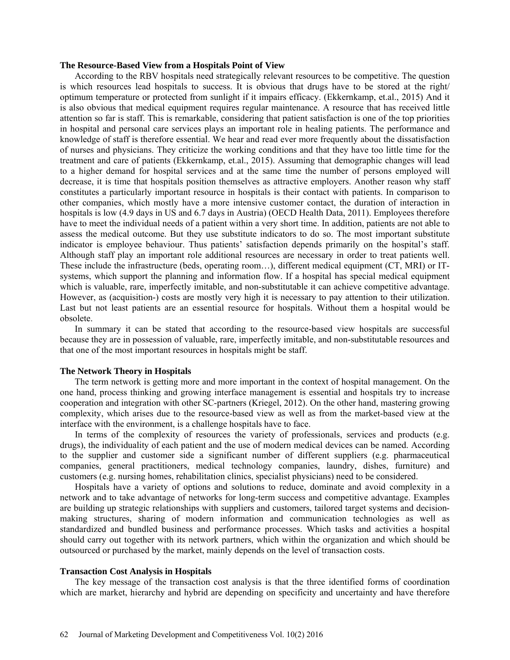#### **The Resource-Based View from a Hospitals Point of View**

According to the RBV hospitals need strategically relevant resources to be competitive. The question is which resources lead hospitals to success. It is obvious that drugs have to be stored at the right/ optimum temperature or protected from sunlight if it impairs efficacy. (Ekkernkamp, et.al., 2015) And it is also obvious that medical equipment requires regular maintenance. A resource that has received little attention so far is staff. This is remarkable, considering that patient satisfaction is one of the top priorities in hospital and personal care services plays an important role in healing patients. The performance and knowledge of staff is therefore essential. We hear and read ever more frequently about the dissatisfaction of nurses and physicians. They criticize the working conditions and that they have too little time for the treatment and care of patients (Ekkernkamp, et.al., 2015). Assuming that demographic changes will lead to a higher demand for hospital services and at the same time the number of persons employed will decrease, it is time that hospitals position themselves as attractive employers. Another reason why staff constitutes a particularly important resource in hospitals is their contact with patients. In comparison to other companies, which mostly have a more intensive customer contact, the duration of interaction in hospitals is low (4.9 days in US and 6.7 days in Austria) (OECD Health Data, 2011). Employees therefore have to meet the individual needs of a patient within a very short time. In addition, patients are not able to assess the medical outcome. But they use substitute indicators to do so. The most important substitute indicator is employee behaviour. Thus patients' satisfaction depends primarily on the hospital's staff. Although staff play an important role additional resources are necessary in order to treat patients well. These include the infrastructure (beds, operating room…), different medical equipment (CT, MRI) or ITsystems, which support the planning and information flow. If a hospital has special medical equipment which is valuable, rare, imperfectly imitable, and non-substitutable it can achieve competitive advantage. However, as (acquisition-) costs are mostly very high it is necessary to pay attention to their utilization. Last but not least patients are an essential resource for hospitals. Without them a hospital would be obsolete.

In summary it can be stated that according to the resource-based view hospitals are successful because they are in possession of valuable, rare, imperfectly imitable, and non-substitutable resources and that one of the most important resources in hospitals might be staff.

## **The Network Theory in Hospitals**

The term network is getting more and more important in the context of hospital management. On the one hand, process thinking and growing interface management is essential and hospitals try to increase cooperation and integration with other SC-partners (Kriegel, 2012). On the other hand, mastering growing complexity, which arises due to the resource-based view as well as from the market-based view at the interface with the environment, is a challenge hospitals have to face.

In terms of the complexity of resources the variety of professionals, services and products (e.g. drugs), the individuality of each patient and the use of modern medical devices can be named. According to the supplier and customer side a significant number of different suppliers (e.g. pharmaceutical companies, general practitioners, medical technology companies, laundry, dishes, furniture) and customers (e.g. nursing homes, rehabilitation clinics, specialist physicians) need to be considered.

Hospitals have a variety of options and solutions to reduce, dominate and avoid complexity in a network and to take advantage of networks for long-term success and competitive advantage. Examples are building up strategic relationships with suppliers and customers, tailored target systems and decisionmaking structures, sharing of modern information and communication technologies as well as standardized and bundled business and performance processes. Which tasks and activities a hospital should carry out together with its network partners, which within the organization and which should be outsourced or purchased by the market, mainly depends on the level of transaction costs.

#### **Transaction Cost Analysis in Hospitals**

The key message of the transaction cost analysis is that the three identified forms of coordination which are market, hierarchy and hybrid are depending on specificity and uncertainty and have therefore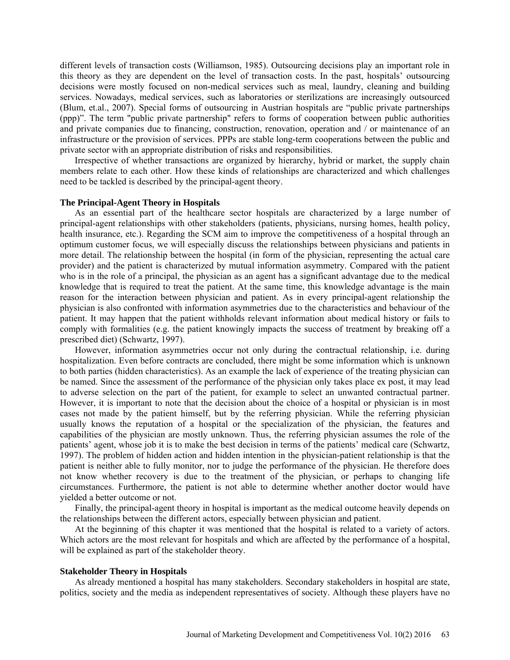different levels of transaction costs (Williamson, 1985). Outsourcing decisions play an important role in this theory as they are dependent on the level of transaction costs. In the past, hospitals' outsourcing decisions were mostly focused on non-medical services such as meal, laundry, cleaning and building services. Nowadays, medical services, such as laboratories or sterilizations are increasingly outsourced (Blum, et.al., 2007). Special forms of outsourcing in Austrian hospitals are "public private partnerships (ppp)". The term "public private partnership" refers to forms of cooperation between public authorities and private companies due to financing, construction, renovation, operation and / or maintenance of an infrastructure or the provision of services. PPPs are stable long-term cooperations between the public and private sector with an appropriate distribution of risks and responsibilities.

Irrespective of whether transactions are organized by hierarchy, hybrid or market, the supply chain members relate to each other. How these kinds of relationships are characterized and which challenges need to be tackled is described by the principal-agent theory.

#### **The Principal-Agent Theory in Hospitals**

As an essential part of the healthcare sector hospitals are characterized by a large number of principal-agent relationships with other stakeholders (patients, physicians, nursing homes, health policy, health insurance, etc.). Regarding the SCM aim to improve the competitiveness of a hospital through an optimum customer focus, we will especially discuss the relationships between physicians and patients in more detail. The relationship between the hospital (in form of the physician, representing the actual care provider) and the patient is characterized by mutual information asymmetry. Compared with the patient who is in the role of a principal, the physician as an agent has a significant advantage due to the medical knowledge that is required to treat the patient. At the same time, this knowledge advantage is the main reason for the interaction between physician and patient. As in every principal-agent relationship the physician is also confronted with information asymmetries due to the characteristics and behaviour of the patient. It may happen that the patient withholds relevant information about medical history or fails to comply with formalities (e.g. the patient knowingly impacts the success of treatment by breaking off a prescribed diet) (Schwartz, 1997).

However, information asymmetries occur not only during the contractual relationship, i.e. during hospitalization. Even before contracts are concluded, there might be some information which is unknown to both parties (hidden characteristics). As an example the lack of experience of the treating physician can be named. Since the assessment of the performance of the physician only takes place ex post, it may lead to adverse selection on the part of the patient, for example to select an unwanted contractual partner. However, it is important to note that the decision about the choice of a hospital or physician is in most cases not made by the patient himself, but by the referring physician. While the referring physician usually knows the reputation of a hospital or the specialization of the physician, the features and capabilities of the physician are mostly unknown. Thus, the referring physician assumes the role of the patients' agent, whose job it is to make the best decision in terms of the patients' medical care (Schwartz, 1997). The problem of hidden action and hidden intention in the physician-patient relationship is that the patient is neither able to fully monitor, nor to judge the performance of the physician. He therefore does not know whether recovery is due to the treatment of the physician, or perhaps to changing life circumstances. Furthermore, the patient is not able to determine whether another doctor would have yielded a better outcome or not.

Finally, the principal-agent theory in hospital is important as the medical outcome heavily depends on the relationships between the different actors, especially between physician and patient.

At the beginning of this chapter it was mentioned that the hospital is related to a variety of actors. Which actors are the most relevant for hospitals and which are affected by the performance of a hospital, will be explained as part of the stakeholder theory.

#### **Stakeholder Theory in Hospitals**

As already mentioned a hospital has many stakeholders. Secondary stakeholders in hospital are state, politics, society and the media as independent representatives of society. Although these players have no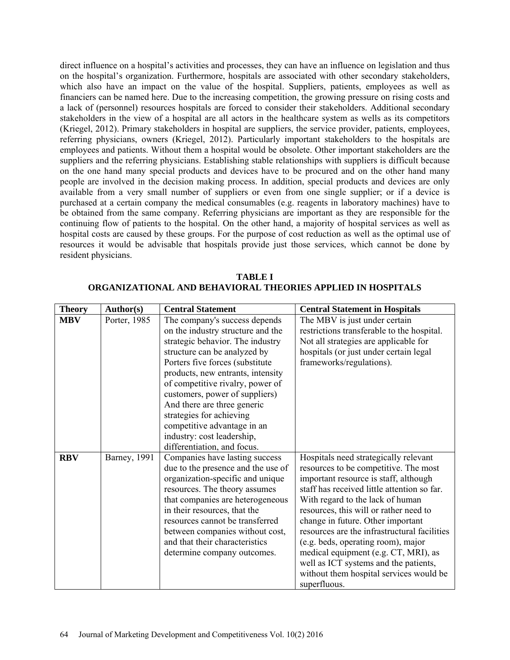direct influence on a hospital's activities and processes, they can have an influence on legislation and thus on the hospital's organization. Furthermore, hospitals are associated with other secondary stakeholders, which also have an impact on the value of the hospital. Suppliers, patients, employees as well as financiers can be named here. Due to the increasing competition, the growing pressure on rising costs and a lack of (personnel) resources hospitals are forced to consider their stakeholders. Additional secondary stakeholders in the view of a hospital are all actors in the healthcare system as wells as its competitors (Kriegel, 2012). Primary stakeholders in hospital are suppliers, the service provider, patients, employees, referring physicians, owners (Kriegel, 2012). Particularly important stakeholders to the hospitals are employees and patients. Without them a hospital would be obsolete. Other important stakeholders are the suppliers and the referring physicians. Establishing stable relationships with suppliers is difficult because on the one hand many special products and devices have to be procured and on the other hand many people are involved in the decision making process. In addition, special products and devices are only available from a very small number of suppliers or even from one single supplier; or if a device is purchased at a certain company the medical consumables (e.g. reagents in laboratory machines) have to be obtained from the same company. Referring physicians are important as they are responsible for the continuing flow of patients to the hospital. On the other hand, a majority of hospital services as well as hospital costs are caused by these groups. For the purpose of cost reduction as well as the optimal use of resources it would be advisable that hospitals provide just those services, which cannot be done by resident physicians.

| <b>Theory</b> | Author(s)            | <b>Central Statement</b>           | <b>Central Statement in Hospitals</b>        |
|---------------|----------------------|------------------------------------|----------------------------------------------|
| <b>MBV</b>    | Porter, 1985         | The company's success depends      | The MBV is just under certain                |
|               |                      | on the industry structure and the  | restrictions transferable to the hospital.   |
|               |                      | strategic behavior. The industry   | Not all strategies are applicable for        |
|               |                      | structure can be analyzed by       | hospitals (or just under certain legal       |
|               |                      | Porters five forces (substitute    | frameworks/regulations).                     |
|               |                      | products, new entrants, intensity  |                                              |
|               |                      | of competitive rivalry, power of   |                                              |
|               |                      | customers, power of suppliers)     |                                              |
|               |                      | And there are three generic        |                                              |
|               |                      | strategies for achieving           |                                              |
|               |                      | competitive advantage in an        |                                              |
|               |                      | industry: cost leadership,         |                                              |
|               |                      | differentiation, and focus.        |                                              |
| <b>RBV</b>    | <b>Barney</b> , 1991 | Companies have lasting success     | Hospitals need strategically relevant        |
|               |                      | due to the presence and the use of | resources to be competitive. The most        |
|               |                      | organization-specific and unique   | important resource is staff, although        |
|               |                      | resources. The theory assumes      | staff has received little attention so far.  |
|               |                      | that companies are heterogeneous   | With regard to the lack of human             |
|               |                      | in their resources, that the       | resources, this will or rather need to       |
|               |                      | resources cannot be transferred    | change in future. Other important            |
|               |                      | between companies without cost,    | resources are the infrastructural facilities |
|               |                      | and that their characteristics     | (e.g. beds, operating room), major           |
|               |                      | determine company outcomes.        | medical equipment (e.g. CT, MRI), as         |
|               |                      |                                    | well as ICT systems and the patients,        |
|               |                      |                                    | without them hospital services would be      |
|               |                      |                                    | superfluous.                                 |

**TABLE I ORGANIZATIONAL AND BEHAVIORAL THEORIES APPLIED IN HOSPITALS**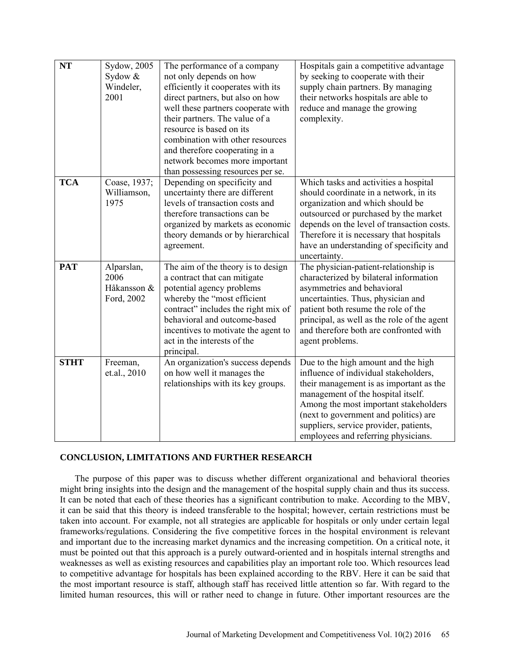| <b>NT</b>   | Sydow, 2005<br>Sydow &<br>Windeler,<br>2001     | The performance of a company<br>not only depends on how<br>efficiently it cooperates with its<br>direct partners, but also on how<br>well these partners cooperate with<br>their partners. The value of a<br>resource is based on its<br>combination with other resources<br>and therefore cooperating in a<br>network becomes more important<br>than possessing resources per se. | Hospitals gain a competitive advantage<br>by seeking to cooperate with their<br>supply chain partners. By managing<br>their networks hospitals are able to<br>reduce and manage the growing<br>complexity.                                                                                                                       |
|-------------|-------------------------------------------------|------------------------------------------------------------------------------------------------------------------------------------------------------------------------------------------------------------------------------------------------------------------------------------------------------------------------------------------------------------------------------------|----------------------------------------------------------------------------------------------------------------------------------------------------------------------------------------------------------------------------------------------------------------------------------------------------------------------------------|
| <b>TCA</b>  | Coase, 1937;<br>Williamson,<br>1975             | Depending on specificity and<br>uncertainty there are different<br>levels of transaction costs and<br>therefore transactions can be<br>organized by markets as economic<br>theory demands or by hierarchical<br>agreement.                                                                                                                                                         | Which tasks and activities a hospital<br>should coordinate in a network, in its<br>organization and which should be<br>outsourced or purchased by the market<br>depends on the level of transaction costs.<br>Therefore it is necessary that hospitals<br>have an understanding of specificity and<br>uncertainty.               |
| <b>PAT</b>  | Alparslan,<br>2006<br>Håkansson &<br>Ford, 2002 | The aim of the theory is to design<br>a contract that can mitigate<br>potential agency problems<br>whereby the "most efficient<br>contract" includes the right mix of<br>behavioral and outcome-based<br>incentives to motivate the agent to<br>act in the interests of the<br>principal.                                                                                          | The physician-patient-relationship is<br>characterized by bilateral information<br>asymmetries and behavioral<br>uncertainties. Thus, physician and<br>patient both resume the role of the<br>principal, as well as the role of the agent<br>and therefore both are confronted with<br>agent problems.                           |
| <b>STHT</b> | Freeman,<br>et.al., 2010                        | An organization's success depends<br>on how well it manages the<br>relationships with its key groups.                                                                                                                                                                                                                                                                              | Due to the high amount and the high<br>influence of individual stakeholders,<br>their management is as important as the<br>management of the hospital itself.<br>Among the most important stakeholders<br>(next to government and politics) are<br>suppliers, service provider, patients,<br>employees and referring physicians. |

# **CONCLUSION, LIMITATIONS AND FURTHER RESEARCH**

The purpose of this paper was to discuss whether different organizational and behavioral theories might bring insights into the design and the management of the hospital supply chain and thus its success. It can be noted that each of these theories has a significant contribution to make. According to the MBV, it can be said that this theory is indeed transferable to the hospital; however, certain restrictions must be taken into account. For example, not all strategies are applicable for hospitals or only under certain legal frameworks/regulations. Considering the five competitive forces in the hospital environment is relevant and important due to the increasing market dynamics and the increasing competition. On a critical note, it must be pointed out that this approach is a purely outward-oriented and in hospitals internal strengths and weaknesses as well as existing resources and capabilities play an important role too. Which resources lead to competitive advantage for hospitals has been explained according to the RBV. Here it can be said that the most important resource is staff, although staff has received little attention so far. With regard to the limited human resources, this will or rather need to change in future. Other important resources are the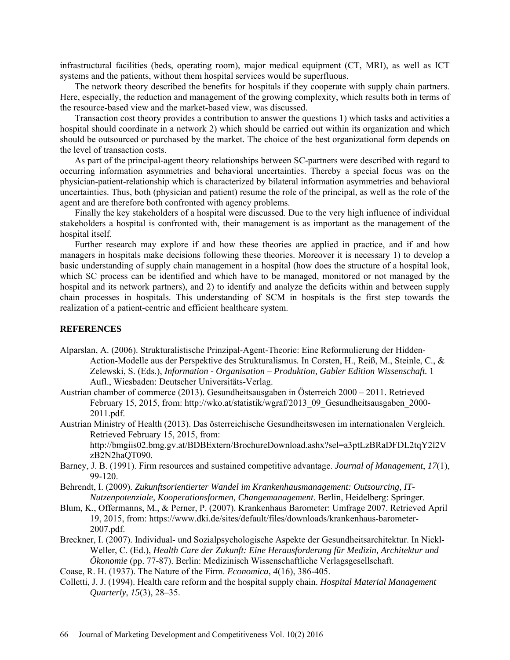infrastructural facilities (beds, operating room), major medical equipment (CT, MRI), as well as ICT systems and the patients, without them hospital services would be superfluous.

The network theory described the benefits for hospitals if they cooperate with supply chain partners. Here, especially, the reduction and management of the growing complexity, which results both in terms of the resource-based view and the market-based view, was discussed.

Transaction cost theory provides a contribution to answer the questions 1) which tasks and activities a hospital should coordinate in a network 2) which should be carried out within its organization and which should be outsourced or purchased by the market. The choice of the best organizational form depends on the level of transaction costs.

As part of the principal-agent theory relationships between SC-partners were described with regard to occurring information asymmetries and behavioral uncertainties. Thereby a special focus was on the physician-patient-relationship which is characterized by bilateral information asymmetries and behavioral uncertainties. Thus, both (physician and patient) resume the role of the principal, as well as the role of the agent and are therefore both confronted with agency problems.

Finally the key stakeholders of a hospital were discussed. Due to the very high influence of individual stakeholders a hospital is confronted with, their management is as important as the management of the hospital itself.

Further research may explore if and how these theories are applied in practice, and if and how managers in hospitals make decisions following these theories. Moreover it is necessary 1) to develop a basic understanding of supply chain management in a hospital (how does the structure of a hospital look, which SC process can be identified and which have to be managed, monitored or not managed by the hospital and its network partners), and 2) to identify and analyze the deficits within and between supply chain processes in hospitals. This understanding of SCM in hospitals is the first step towards the realization of a patient-centric and efficient healthcare system.

#### **REFERENCES**

- Alparslan, A. (2006). Strukturalistische Prinzipal-Agent-Theorie: Eine Reformulierung der Hidden-Action-Modelle aus der Perspektive des Strukturalismus*.* In Corsten, H., Reiß, M., Steinle, C., & Zelewski, S. (Eds.), *Information - Organisation – Produktion, Gabler Edition Wissenschaft.* 1 Aufl., Wiesbaden: Deutscher Universitäts-Verlag.
- Austrian chamber of commerce (2013). Gesundheitsausgaben in Österreich 2000 2011. Retrieved February 15, 2015, from: http://wko.at/statistik/wgraf/2013\_09\_Gesundheitsausgaben\_2000-2011.pdf.
- Austrian Ministry of Health (2013). Das österreichische Gesundheitswesen im internationalen Vergleich. Retrieved February 15, 2015, from:

http://bmgiis02.bmg.gv.at/BDBExtern/BrochureDownload.ashx?sel=a3ptLzBRaDFDL2tqY2l2V zB2N2haQT090.

- Barney, J. B. (1991). Firm resources and sustained competitive advantage. *Journal of Management*, *17*(1), 99-120.
- Behrendt, I. (2009). *Zukunftsorientierter Wandel im Krankenhausmanagement: Outsourcing, IT-Nutzenpotenziale, Kooperationsformen, Changemanagement*. Berlin, Heidelberg: Springer.
- Blum, K., Offermanns, M., & Perner, P. (2007). Krankenhaus Barometer: Umfrage 2007. Retrieved April 19, 2015, from: https://www.dki.de/sites/default/files/downloads/krankenhaus-barometer-2007.pdf.
- Breckner, I. (2007). Individual- und Sozialpsychologische Aspekte der Gesundheitsarchitektur. In Nickl-Weller, C. (Ed.), *Health Care der Zukunft: Eine Herausforderung für Medizin, Architektur und Ökonomie* (pp. 77-87). Berlin: Medizinisch Wissenschaftliche Verlagsgesellschaft.
- Coase, R. H. (1937). The Nature of the Firm. *Economica*, *4*(16), 386-405.
- Colletti, J. J. (1994). Health care reform and the hospital supply chain. *Hospital Material Management Quarterly*, *15*(3), 28–35.